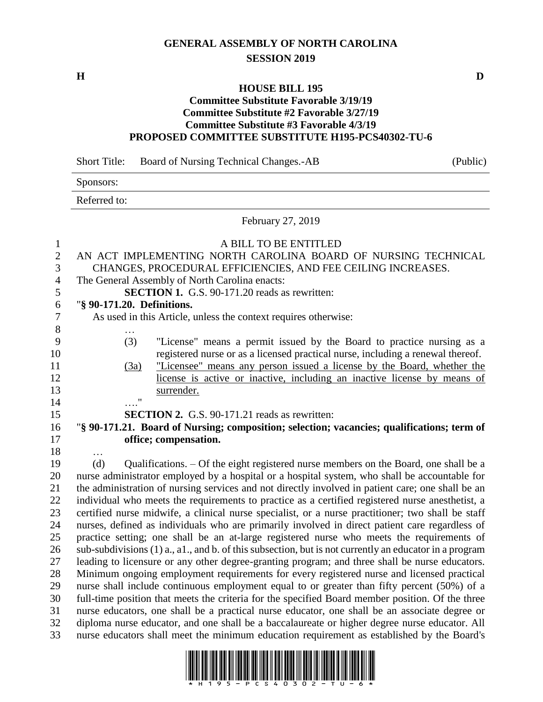## **GENERAL ASSEMBLY OF NORTH CAROLINA SESSION 2019**

#### **HOUSE BILL 195**

### **Committee Substitute Favorable 3/19/19 Committee Substitute #2 Favorable 3/27/19 Committee Substitute #3 Favorable 4/3/19 PROPOSED COMMITTEE SUBSTITUTE H195-PCS40302-TU-6**

|                  | Sponsors:                                                                                              |
|------------------|--------------------------------------------------------------------------------------------------------|
|                  | Referred to:                                                                                           |
|                  | February 27, 2019                                                                                      |
| $\mathbf{1}$     | A BILL TO BE ENTITLED                                                                                  |
| $\overline{2}$   | AN ACT IMPLEMENTING NORTH CAROLINA BOARD OF NURSING TECHNICAL                                          |
| 3                | CHANGES, PROCEDURAL EFFICIENCIES, AND FEE CEILING INCREASES.                                           |
| $\overline{4}$   | The General Assembly of North Carolina enacts:                                                         |
| 5                | <b>SECTION 1.</b> G.S. 90-171.20 reads as rewritten:                                                   |
| 6                | "§ 90-171.20. Definitions.                                                                             |
| $\boldsymbol{7}$ | As used in this Article, unless the context requires otherwise:                                        |
| $8\,$            |                                                                                                        |
| 9                | (3)<br>"License" means a permit issued by the Board to practice nursing as a                           |
| 10               | registered nurse or as a licensed practical nurse, including a renewal thereof.                        |
| 11               | "Licensee" means any person issued a license by the Board, whether the<br>(3a)                         |
| 12               | license is active or inactive, including an inactive license by means of                               |
| 13               | surrender.                                                                                             |
| 14               | $\ldots$ $\mathbf{m}$                                                                                  |
| 15               | <b>SECTION 2.</b> G.S. 90-171.21 reads as rewritten:                                                   |
| 16               | "§ 90-171.21. Board of Nursing; composition; selection; vacancies; qualifications; term of             |
| 17               | office; compensation.                                                                                  |
| 18               | .                                                                                                      |
| 19               | (d)<br>Qualifications. – Of the eight registered nurse members on the Board, one shall be a            |
| 20               | nurse administrator employed by a hospital or a hospital system, who shall be accountable for          |
| 21               | the administration of nursing services and not directly involved in patient care; one shall be an      |
| 22               | individual who meets the requirements to practice as a certified registered nurse anesthetist, a       |
| 23               | certified nurse midwife, a clinical nurse specialist, or a nurse practitioner; two shall be staff      |
| 24               | nurses, defined as individuals who are primarily involved in direct patient care regardless of         |
| 25               | practice setting; one shall be an at-large registered nurse who meets the requirements of              |
| 26               | sub-subdivisions (1) a., a1., and b. of this subsection, but is not currently an educator in a program |
| 27               | leading to licensure or any other degree-granting program; and three shall be nurse educators.         |
| 28               | Minimum ongoing employment requirements for every registered nurse and licensed practical              |
| 29               | nurse shall include continuous employment equal to or greater than fifty percent (50%) of a            |
| 30               | full-time position that meets the criteria for the specified Board member position. Of the three       |
| 31               | nurse educators, one shall be a practical nurse educator, one shall be an associate degree or          |

Short Title: Board of Nursing Technical Changes.-AB (Public)



 diploma nurse educator, and one shall be a baccalaureate or higher degree nurse educator. All nurse educators shall meet the minimum education requirement as established by the Board's

**H D**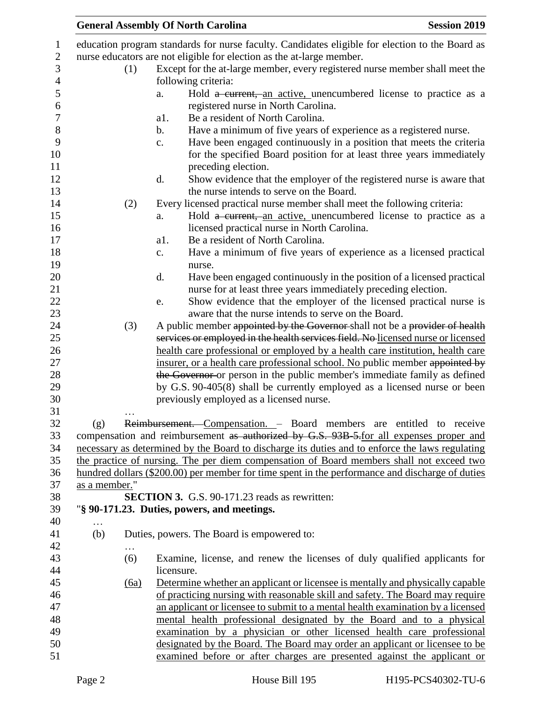|               |          |                | <b>General Assembly Of North Carolina</b>                                                                                                     | <b>Session 2019</b> |
|---------------|----------|----------------|-----------------------------------------------------------------------------------------------------------------------------------------------|---------------------|
|               |          |                | education program standards for nurse faculty. Candidates eligible for election to the Board as                                               |                     |
|               |          |                | nurse educators are not eligible for election as the at-large member.                                                                         |                     |
|               | (1)      |                | Except for the at-large member, every registered nurse member shall meet the                                                                  |                     |
|               |          |                | following criteria:                                                                                                                           |                     |
|               |          | a.             | Hold a current, an active, unencumbered license to practice as a                                                                              |                     |
|               |          |                | registered nurse in North Carolina.                                                                                                           |                     |
|               |          | a1.            | Be a resident of North Carolina.                                                                                                              |                     |
|               |          | $\mathbf b$ .  | Have a minimum of five years of experience as a registered nurse.                                                                             |                     |
|               |          |                |                                                                                                                                               |                     |
|               |          | $\mathbf{c}$ . | Have been engaged continuously in a position that meets the criteria<br>for the specified Board position for at least three years immediately |                     |
|               |          |                | preceding election.                                                                                                                           |                     |
|               |          | d.             | Show evidence that the employer of the registered nurse is aware that                                                                         |                     |
|               |          |                | the nurse intends to serve on the Board.                                                                                                      |                     |
|               | (2)      |                | Every licensed practical nurse member shall meet the following criteria:                                                                      |                     |
|               |          | a.             | Hold a current, an active, unencumbered license to practice as a<br>licensed practical nurse in North Carolina.                               |                     |
|               |          | a1.            | Be a resident of North Carolina.                                                                                                              |                     |
|               |          | $\mathbf{c}$ . | Have a minimum of five years of experience as a licensed practical<br>nurse.                                                                  |                     |
|               |          | d.             | Have been engaged continuously in the position of a licensed practical                                                                        |                     |
|               |          |                | nurse for at least three years immediately preceding election.                                                                                |                     |
|               |          | e.             | Show evidence that the employer of the licensed practical nurse is                                                                            |                     |
|               |          |                | aware that the nurse intends to serve on the Board.                                                                                           |                     |
|               | (3)      |                | A public member appointed by the Governor shall not be a provider of health                                                                   |                     |
|               |          |                | services or employed in the health services field. No licensed nurse or licensed                                                              |                     |
|               |          |                | health care professional or employed by a health care institution, health care                                                                |                     |
|               |          |                | insurer, or a health care professional school. No public member appointed by                                                                  |                     |
|               |          |                | the Governor or person in the public member's immediate family as defined                                                                     |                     |
|               |          |                | by G.S. 90-405(8) shall be currently employed as a licensed nurse or been                                                                     |                     |
|               |          |                | previously employed as a licensed nurse.                                                                                                      |                     |
|               | .        |                |                                                                                                                                               |                     |
| (g)           |          |                | Reimbursement. Compensation. - Board members are entitled to receive                                                                          |                     |
|               |          |                | compensation and reimbursement as authorized by G.S. 93B-5-for all expenses proper and                                                        |                     |
|               |          |                | necessary as determined by the Board to discharge its duties and to enforce the laws regulating                                               |                     |
|               |          |                | the practice of nursing. The per diem compensation of Board members shall not exceed two                                                      |                     |
|               |          |                | hundred dollars (\$200.00) per member for time spent in the performance and discharge of duties                                               |                     |
| as a member." |          |                |                                                                                                                                               |                     |
|               |          |                | <b>SECTION 3.</b> G.S. 90-171.23 reads as rewritten:                                                                                          |                     |
|               |          |                | "§ 90-171.23. Duties, powers, and meetings.                                                                                                   |                     |
| $\cdots$      |          |                |                                                                                                                                               |                     |
| (b)           | $\cdots$ |                | Duties, powers. The Board is empowered to:                                                                                                    |                     |
|               | (6)      |                | Examine, license, and renew the licenses of duly qualified applicants for                                                                     |                     |
|               |          | licensure.     |                                                                                                                                               |                     |
|               | (6a)     |                | Determine whether an applicant or licensee is mentally and physically capable                                                                 |                     |
|               |          |                | of practicing nursing with reasonable skill and safety. The Board may require                                                                 |                     |
|               |          |                | an applicant or licensee to submit to a mental health examination by a licensed                                                               |                     |
|               |          |                | mental health professional designated by the Board and to a physical                                                                          |                     |
|               |          |                | examination by a physician or other licensed health care professional                                                                         |                     |
|               |          |                | designated by the Board. The Board may order an applicant or licensee to be                                                                   |                     |
|               |          |                | examined before or after charges are presented against the applicant or                                                                       |                     |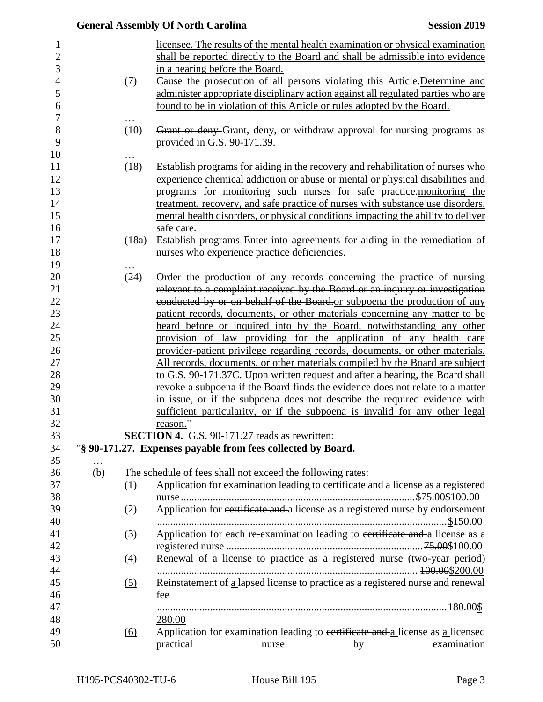|          |                   | <b>General Assembly Of North Carolina</b> |                                                                                                                                                                                                                                                                                                                                                                                                                |    | <b>Session 2019</b> |
|----------|-------------------|-------------------------------------------|----------------------------------------------------------------------------------------------------------------------------------------------------------------------------------------------------------------------------------------------------------------------------------------------------------------------------------------------------------------------------------------------------------------|----|---------------------|
|          | (7)               | in a hearing before the Board.            | licensee. The results of the mental health examination or physical examination<br>shall be reported directly to the Board and shall be admissible into evidence<br>Cause the prosecution of all persons violating this Article-Determine and                                                                                                                                                                   |    |                     |
|          |                   |                                           | administer appropriate disciplinary action against all regulated parties who are<br>found to be in violation of this Article or rules adopted by the Board.                                                                                                                                                                                                                                                    |    |                     |
|          | (10)              | provided in G.S. 90-171.39.               | Grant or deny Grant, deny, or withdraw approval for nursing programs as                                                                                                                                                                                                                                                                                                                                        |    |                     |
|          | (18)              |                                           | Establish programs for aiding in the recovery and rehabilitation of nurses who<br>experience chemical addiction or abuse or mental or physical disabilities and<br>programs for monitoring such nurses for safe practice. monitoring the<br>treatment, recovery, and safe practice of nurses with substance use disorders,<br>mental health disorders, or physical conditions impacting the ability to deliver |    |                     |
|          | (18a)             | safe care.                                | Establish programs Enter into agreements for aiding in the remediation of<br>nurses who experience practice deficiencies.                                                                                                                                                                                                                                                                                      |    |                     |
|          | (24)              |                                           |                                                                                                                                                                                                                                                                                                                                                                                                                |    |                     |
|          |                   |                                           | Order the production of any records concerning the practice of nursing<br>relevant to a complaint received by the Board or an inquiry or investigation                                                                                                                                                                                                                                                         |    |                     |
|          |                   |                                           | conducted by or on behalf of the Board or subpoena the production of any                                                                                                                                                                                                                                                                                                                                       |    |                     |
|          |                   |                                           | patient records, documents, or other materials concerning any matter to be                                                                                                                                                                                                                                                                                                                                     |    |                     |
|          |                   |                                           | heard before or inquired into by the Board, notwithstanding any other                                                                                                                                                                                                                                                                                                                                          |    |                     |
|          |                   |                                           | provision of law providing for the application of any health care                                                                                                                                                                                                                                                                                                                                              |    |                     |
|          |                   |                                           | provider-patient privilege regarding records, documents, or other materials.                                                                                                                                                                                                                                                                                                                                   |    |                     |
|          |                   |                                           | All records, documents, or other materials compiled by the Board are subject                                                                                                                                                                                                                                                                                                                                   |    |                     |
|          |                   |                                           | to G.S. 90-171.37C. Upon written request and after a hearing, the Board shall                                                                                                                                                                                                                                                                                                                                  |    |                     |
|          |                   |                                           | revoke a subpoena if the Board finds the evidence does not relate to a matter                                                                                                                                                                                                                                                                                                                                  |    |                     |
|          |                   | reason."                                  | in issue, or if the subpoena does not describe the required evidence with<br>sufficient particularity, or if the subpoena is invalid for any other legal                                                                                                                                                                                                                                                       |    |                     |
|          |                   |                                           | SECTION 4. G.S. 90-171.27 reads as rewritten:                                                                                                                                                                                                                                                                                                                                                                  |    |                     |
|          |                   |                                           | "§ 90-171.27. Expenses payable from fees collected by Board.                                                                                                                                                                                                                                                                                                                                                   |    |                     |
| $\cdots$ |                   |                                           |                                                                                                                                                                                                                                                                                                                                                                                                                |    |                     |
| (b)      |                   |                                           | The schedule of fees shall not exceed the following rates:                                                                                                                                                                                                                                                                                                                                                     |    |                     |
|          | (1)               |                                           | Application for examination leading to certificate and a license as a registered                                                                                                                                                                                                                                                                                                                               |    |                     |
|          |                   |                                           |                                                                                                                                                                                                                                                                                                                                                                                                                |    |                     |
|          | (2)               |                                           | Application for eertificate and a license as a registered nurse by endorsement                                                                                                                                                                                                                                                                                                                                 |    |                     |
|          | $\left(3\right)$  |                                           | Application for each re-examination leading to eertificate and a license as a                                                                                                                                                                                                                                                                                                                                  |    |                     |
|          |                   |                                           |                                                                                                                                                                                                                                                                                                                                                                                                                |    |                     |
|          | (4)               |                                           | Renewal of a license to practice as a registered nurse (two-year period)                                                                                                                                                                                                                                                                                                                                       |    |                     |
|          | (5)               |                                           | Reinstatement of a lapsed license to practice as a registered nurse and renewal                                                                                                                                                                                                                                                                                                                                |    |                     |
|          |                   | fee                                       |                                                                                                                                                                                                                                                                                                                                                                                                                |    |                     |
|          |                   |                                           |                                                                                                                                                                                                                                                                                                                                                                                                                |    |                     |
|          |                   | 280.00                                    |                                                                                                                                                                                                                                                                                                                                                                                                                |    |                     |
|          | $\underline{(6)}$ |                                           | Application for examination leading to eertificate and a license as a licensed                                                                                                                                                                                                                                                                                                                                 |    |                     |
|          |                   | practical                                 | nurse                                                                                                                                                                                                                                                                                                                                                                                                          | by | examination         |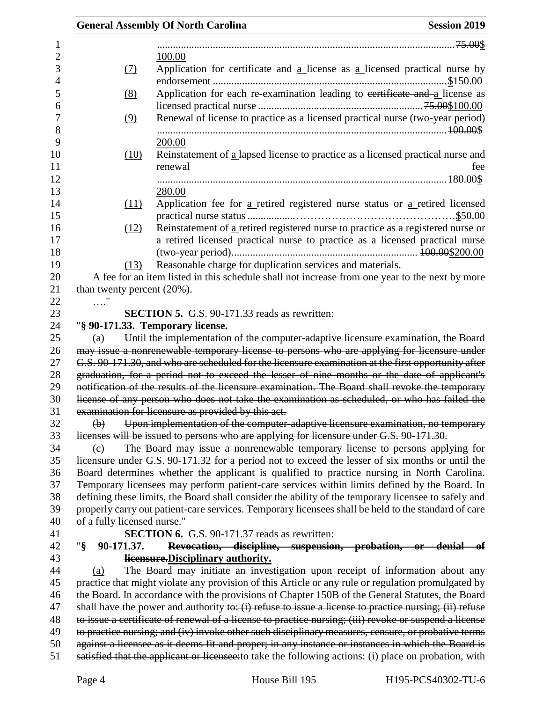|                                | <b>General Assembly Of North Carolina</b><br><b>Session 2019</b>                                                                                                                                    |
|--------------------------------|-----------------------------------------------------------------------------------------------------------------------------------------------------------------------------------------------------|
|                                |                                                                                                                                                                                                     |
|                                | 100.00                                                                                                                                                                                              |
| (7)                            | Application for certificate and $a$ license as $a$ licensed practical nurse by                                                                                                                      |
| (8)                            | Application for each re-examination leading to certificate and a license as                                                                                                                         |
| (9)                            | Renewal of license to practice as a licensed practical nurse (two-year period)                                                                                                                      |
|                                | 200.00                                                                                                                                                                                              |
| (10)                           | Reinstatement of a lapsed license to practice as a licensed practical nurse and<br>renewal<br>fee                                                                                                   |
|                                |                                                                                                                                                                                                     |
|                                | 280.00                                                                                                                                                                                              |
| (11)                           | Application fee for a retired registered nurse status or a retired licensed                                                                                                                         |
|                                |                                                                                                                                                                                                     |
| (12)                           | Reinstatement of a retired registered nurse to practice as a registered nurse or                                                                                                                    |
|                                | a retired licensed practical nurse to practice as a licensed practical nurse                                                                                                                        |
| (13)                           | Reasonable charge for duplication services and materials.                                                                                                                                           |
|                                | A fee for an item listed in this schedule shall not increase from one year to the next by more                                                                                                      |
| than twenty percent $(20\%)$ . |                                                                                                                                                                                                     |
| $\ldots$ "                     |                                                                                                                                                                                                     |
|                                | <b>SECTION 5.</b> G.S. 90-171.33 reads as rewritten:                                                                                                                                                |
|                                | "§ 90-171.33. Temporary license.                                                                                                                                                                    |
| $\left(\mathrm{a}\right)$      | Until the implementation of the computer-adaptive licensure examination, the Board                                                                                                                  |
|                                | may issue a nonrenewable temporary license to persons who are applying for licensure under                                                                                                          |
|                                | G.S. 90-171.30, and who are scheduled for the licensure examination at the first opportunity after                                                                                                  |
|                                | graduation, for a period not to exceed the lesser of nine months or the date of applicant's                                                                                                         |
|                                | notification of the results of the licensure examination. The Board shall revoke the temporary                                                                                                      |
|                                | license of any person who does not take the examination as scheduled, or who has failed the                                                                                                         |
|                                | examination for licensure as provided by this act.                                                                                                                                                  |
| $\bigoplus$                    | Upon implementation of the computer-adaptive licensure examination, no temporary                                                                                                                    |
|                                | licenses will be issued to persons who are applying for licensure under G.S. 90-171.30.                                                                                                             |
| (c)                            | The Board may issue a nonrenewable temporary license to persons applying for                                                                                                                        |
|                                | licensure under G.S. 90-171.32 for a period not to exceed the lesser of six months or until the                                                                                                     |
|                                | Board determines whether the applicant is qualified to practice nursing in North Carolina.                                                                                                          |
|                                | Temporary licensees may perform patient-care services within limits defined by the Board. In<br>defining these limits, the Board shall consider the ability of the temporary licensee to safely and |
|                                | properly carry out patient-care services. Temporary licensees shall be held to the standard of care                                                                                                 |
| of a fully licensed nurse."    |                                                                                                                                                                                                     |
|                                | <b>SECTION 6.</b> G.S. 90-171.37 reads as rewritten:                                                                                                                                                |
| " $\S$<br>90-171.37.           | Revocation, discipline, suspension, probation, or denial of                                                                                                                                         |
|                                | licensure. Disciplinary authority.                                                                                                                                                                  |
| (a)                            | The Board may initiate an investigation upon receipt of information about any                                                                                                                       |
|                                | practice that might violate any provision of this Article or any rule or regulation promulgated by                                                                                                  |
|                                | the Board. In accordance with the provisions of Chapter 150B of the General Statutes, the Board                                                                                                     |
|                                | shall have the power and authority to: $(i)$ refuse to issue a license to practice nursing; $(ii)$ refuse                                                                                           |
|                                | to issue a certificate of renewal of a license to practice nursing; (iii) revoke or suspend a license                                                                                               |
|                                | to practice nursing; and (iv) invoke other such disciplinary measures, censure, or probative terms                                                                                                  |
|                                | against a licensee as it deems fit and proper; in any instance or instances in which the Board is                                                                                                   |
|                                | satisfied that the applicant or licensee: to take the following actions: (i) place on probation, with                                                                                               |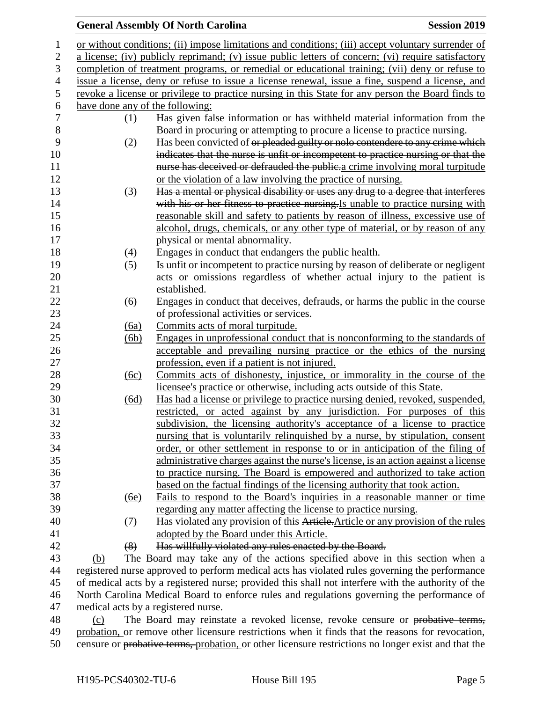| $\mathbf 1$   |                                                                                                    |      | or without conditions; (ii) impose limitations and conditions; (iii) accept voluntary surrender of |  |
|---------------|----------------------------------------------------------------------------------------------------|------|----------------------------------------------------------------------------------------------------|--|
| $\mathbf{2}$  | a license; (iv) publicly reprimand; (v) issue public letters of concern; (vi) require satisfactory |      |                                                                                                    |  |
| 3             | completion of treatment programs, or remedial or educational training; (vii) deny or refuse to     |      |                                                                                                    |  |
| 4             | issue a license, deny or refuse to issue a license renewal, issue a fine, suspend a license, and   |      |                                                                                                    |  |
| $\mathfrak s$ |                                                                                                    |      | revoke a license or privilege to practice nursing in this State for any person the Board finds to  |  |
| 6             |                                                                                                    |      | have done any of the following:                                                                    |  |
| 7             |                                                                                                    | (1)  | Has given false information or has withheld material information from the                          |  |
| $8\,$         |                                                                                                    |      | Board in procuring or attempting to procure a license to practice nursing.                         |  |
| 9             |                                                                                                    | (2)  | Has been convicted of or pleaded guilty or nolo contendere to any crime which                      |  |
| 10            |                                                                                                    |      | indicates that the nurse is unfit or incompetent to practice nursing or that the                   |  |
| 11            |                                                                                                    |      | nurse has deceived or defrauded the public a crime involving moral turpitude                       |  |
| 12            |                                                                                                    |      | or the violation of a law involving the practice of nursing.                                       |  |
| 13            |                                                                                                    | (3)  | Has a mental or physical disability or uses any drug to a degree that interferes                   |  |
| 14            |                                                                                                    |      | with his or her fitness to practice nursing. Is unable to practice nursing with                    |  |
| 15            |                                                                                                    |      | reasonable skill and safety to patients by reason of illness, excessive use of                     |  |
| 16            |                                                                                                    |      | alcohol, drugs, chemicals, or any other type of material, or by reason of any                      |  |
| 17            |                                                                                                    |      | physical or mental abnormality.                                                                    |  |
| 18            |                                                                                                    | (4)  | Engages in conduct that endangers the public health.                                               |  |
| 19            |                                                                                                    | (5)  | Is unfit or incompetent to practice nursing by reason of deliberate or negligent                   |  |
| 20            |                                                                                                    |      | acts or omissions regardless of whether actual injury to the patient is                            |  |
| 21            |                                                                                                    |      | established.                                                                                       |  |
| 22            |                                                                                                    | (6)  | Engages in conduct that deceives, defrauds, or harms the public in the course                      |  |
| 23            |                                                                                                    |      | of professional activities or services.                                                            |  |
| 24            |                                                                                                    | (6a) | Commits acts of moral turpitude.                                                                   |  |
| 25            |                                                                                                    | (6b) | Engages in unprofessional conduct that is nonconforming to the standards of                        |  |
| 26            |                                                                                                    |      | acceptable and prevailing nursing practice or the ethics of the nursing                            |  |
| 27            |                                                                                                    |      | profession, even if a patient is not injured.                                                      |  |
| 28            |                                                                                                    | (6c) | Commits acts of dishonesty, injustice, or immorality in the course of the                          |  |
| 29            |                                                                                                    |      | licensee's practice or otherwise, including acts outside of this State.                            |  |
| 30            |                                                                                                    | (6d) | Has had a license or privilege to practice nursing denied, revoked, suspended,                     |  |
| 31            |                                                                                                    |      | restricted, or acted against by any jurisdiction. For purposes of this                             |  |
| 32            |                                                                                                    |      | subdivision, the licensing authority's acceptance of a license to practice                         |  |
| 33            |                                                                                                    |      | nursing that is voluntarily relinquished by a nurse, by stipulation, consent                       |  |
| 34            |                                                                                                    |      | order, or other settlement in response to or in anticipation of the filing of                      |  |
| 35            |                                                                                                    |      | administrative charges against the nurse's license, is an action against a license                 |  |
| 36            |                                                                                                    |      | to practice nursing. The Board is empowered and authorized to take action                          |  |
| 37            |                                                                                                    |      | based on the factual findings of the licensing authority that took action.                         |  |
| 38            |                                                                                                    | (6e) | Fails to respond to the Board's inquiries in a reasonable manner or time                           |  |
| 39            |                                                                                                    |      | regarding any matter affecting the license to practice nursing.                                    |  |
| 40            |                                                                                                    | (7)  | Has violated any provision of this Article. Article or any provision of the rules                  |  |
| 41            |                                                                                                    |      | adopted by the Board under this Article.                                                           |  |
| 42            |                                                                                                    | (8)  | Has willfully violated any rules enacted by the Board.                                             |  |
| $\Lambda$     |                                                                                                    |      | $\lambda = 1$ and $\lambda = 1$ and $\lambda = 1$ and $\lambda = 1$                                |  |

 (b) The Board may take any of the actions specified above in this section when a registered nurse approved to perform medical acts has violated rules governing the performance of medical acts by a registered nurse; provided this shall not interfere with the authority of the North Carolina Medical Board to enforce rules and regulations governing the performance of medical acts by a registered nurse.

 (c) The Board may reinstate a revoked license, revoke censure or probative terms, probation, or remove other licensure restrictions when it finds that the reasons for revocation, censure or probative terms, probation, or other licensure restrictions no longer exist and that the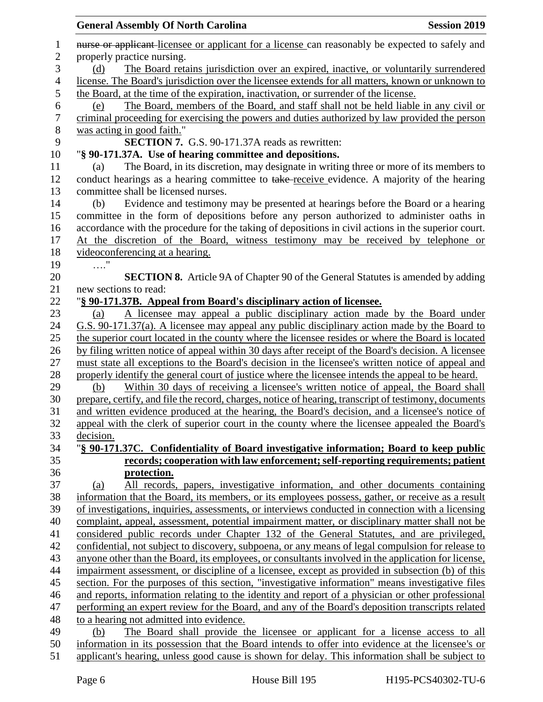## 1 **nurse or applicant-licensee or applicant for a license can reasonably be expected to safely and**  properly practice nursing. (d) The Board retains jurisdiction over an expired, inactive, or voluntarily surrendered license. The Board's jurisdiction over the licensee extends for all matters, known or unknown to the Board, at the time of the expiration, inactivation, or surrender of the license. (e) The Board, members of the Board, and staff shall not be held liable in any civil or criminal proceeding for exercising the powers and duties authorized by law provided the person 8 was acting in good faith."<br>9 **SECTION 7. SECTION 7.** G.S. 90-171.37A reads as rewritten: "**§ 90-171.37A. Use of hearing committee and depositions.** (a) The Board, in its discretion, may designate in writing three or more of its members to 12 conduct hearings as a hearing committee to take-receive evidence. A majority of the hearing committee shall be licensed nurses. (b) Evidence and testimony may be presented at hearings before the Board or a hearing committee in the form of depositions before any person authorized to administer oaths in accordance with the procedure for the taking of depositions in civil actions in the superior court. At the discretion of the Board, witness testimony may be received by telephone or videoconferencing at a hearing. …." **SECTION 8.** Article 9A of Chapter 90 of the General Statutes is amended by adding new sections to read: "**§ 90-171.37B. Appeal from Board's disciplinary action of licensee.** (a) A licensee may appeal a public disciplinary action made by the Board under G.S. 90-171.37(a). A licensee may appeal any public disciplinary action made by the Board to the superior court located in the county where the licensee resides or where the Board is located by filing written notice of appeal within 30 days after receipt of the Board's decision. A licensee must state all exceptions to the Board's decision in the licensee's written notice of appeal and properly identify the general court of justice where the licensee intends the appeal to be heard. (b) Within 30 days of receiving a licensee's written notice of appeal, the Board shall prepare, certify, and file the record, charges, notice of hearing, transcript of testimony, documents and written evidence produced at the hearing, the Board's decision, and a licensee's notice of appeal with the clerk of superior court in the county where the licensee appealed the Board's decision. "**§ 90-171.37C. Confidentiality of Board investigative information; Board to keep public records; cooperation with law enforcement; self-reporting requirements; patient protection.** (a) All records, papers, investigative information, and other documents containing information that the Board, its members, or its employees possess, gather, or receive as a result of investigations, inquiries, assessments, or interviews conducted in connection with a licensing complaint, appeal, assessment, potential impairment matter, or disciplinary matter shall not be considered public records under Chapter 132 of the General Statutes, and are privileged, confidential, not subject to discovery, subpoena, or any means of legal compulsion for release to anyone other than the Board, its employees, or consultants involved in the application for license, impairment assessment, or discipline of a licensee, except as provided in subsection (b) of this section. For the purposes of this section, "investigative information" means investigative files and reports, information relating to the identity and report of a physician or other professional performing an expert review for the Board, and any of the Board's deposition transcripts related to a hearing not admitted into evidence. (b) The Board shall provide the licensee or applicant for a license access to all information in its possession that the Board intends to offer into evidence at the licensee's or applicant's hearing, unless good cause is shown for delay. This information shall be subject to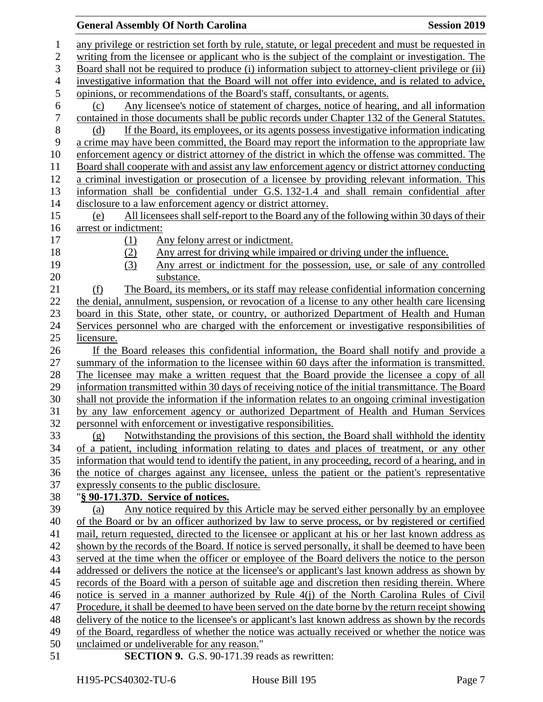| $\mathbf{1}$             | any privilege or restriction set forth by rule, statute, or legal precedent and must be requested in |
|--------------------------|------------------------------------------------------------------------------------------------------|
| $\overline{2}$           | writing from the licensee or applicant who is the subject of the complaint or investigation. The     |
| 3                        | Board shall not be required to produce (i) information subject to attorney-client privilege or (ii)  |
| $\overline{\mathcal{A}}$ | investigative information that the Board will not offer into evidence, and is related to advice,     |
| 5                        | opinions, or recommendations of the Board's staff, consultants, or agents.                           |
| 6                        | Any licensee's notice of statement of charges, notice of hearing, and all information<br>(c)         |
| 7                        | contained in those documents shall be public records under Chapter 132 of the General Statutes.      |
| 8                        | If the Board, its employees, or its agents possess investigative information indicating<br>(d)       |
| 9                        | a crime may have been committed, the Board may report the information to the appropriate law         |
| 10                       | enforcement agency or district attorney of the district in which the offense was committed. The      |
| 11                       | Board shall cooperate with and assist any law enforcement agency or district attorney conducting     |
| 12                       | a criminal investigation or prosecution of a licensee by providing relevant information. This        |
| 13                       | information shall be confidential under G.S. 132-1.4 and shall remain confidential after             |
| 14                       | disclosure to a law enforcement agency or district attorney.                                         |
| 15                       | All licensees shall self-report to the Board any of the following within 30 days of their<br>(e)     |
| 16                       | arrest or indictment:                                                                                |
| 17                       | Any felony arrest or indictment.<br>(1)                                                              |
| 18                       | Any arrest for driving while impaired or driving under the influence.<br>(2)                         |
| 19                       | (3)<br>Any arrest or indictment for the possession, use, or sale of any controlled                   |
| 20                       | substance.                                                                                           |
| 21                       | The Board, its members, or its staff may release confidential information concerning<br>(f)          |
| 22                       | the denial, annulment, suspension, or revocation of a license to any other health care licensing     |
| 23                       | board in this State, other state, or country, or authorized Department of Health and Human           |
| 24                       | Services personnel who are charged with the enforcement or investigative responsibilities of         |
| 25                       | licensure.                                                                                           |
| 26                       | If the Board releases this confidential information, the Board shall notify and provide a            |
| 27                       | summary of the information to the licensee within 60 days after the information is transmitted.      |
| 28                       | The licensee may make a written request that the Board provide the licensee a copy of all            |
| 29                       | information transmitted within 30 days of receiving notice of the initial transmittance. The Board   |
| 30                       | shall not provide the information if the information relates to an ongoing criminal investigation    |
| 31                       | by any law enforcement agency or authorized Department of Health and Human Services                  |
| 32                       | personnel with enforcement or investigative responsibilities.                                        |
| 33                       | (g) Notwithstanding the provisions of this section, the Board shall withhold the identity            |
| 34                       | of a patient, including information relating to dates and places of treatment, or any other          |
| 35                       | information that would tend to identify the patient, in any proceeding, record of a hearing, and in  |
| 36                       | the notice of charges against any licensee, unless the patient or the patient's representative       |
| 37                       | expressly consents to the public disclosure.                                                         |
| 38                       | "§ 90-171.37D. Service of notices.                                                                   |
| 39                       | Any notice required by this Article may be served either personally by an employee<br>(a)            |
| 40                       | of the Board or by an officer authorized by law to serve process, or by registered or certified      |
| 41                       | mail, return requested, directed to the licensee or applicant at his or her last known address as    |
| 42                       | shown by the records of the Board. If notice is served personally, it shall be deemed to have been   |
| 43                       | served at the time when the officer or employee of the Board delivers the notice to the person       |
| 44                       | addressed or delivers the notice at the licensee's or applicant's last known address as shown by     |
| 45                       | records of the Board with a person of suitable age and discretion then residing therein. Where       |
| 46                       | notice is served in a manner authorized by Rule $4(j)$ of the North Carolina Rules of Civil          |
| 47                       | Procedure, it shall be deemed to have been served on the date borne by the return receipt showing    |
| 48                       | delivery of the notice to the licensee's or applicant's last known address as shown by the records   |
| 49                       | of the Board, regardless of whether the notice was actually received or whether the notice was       |
| 50                       | unclaimed or undeliverable for any reason."                                                          |
| 51                       | SECTION 9. G.S. 90-171.39 reads as rewritten:                                                        |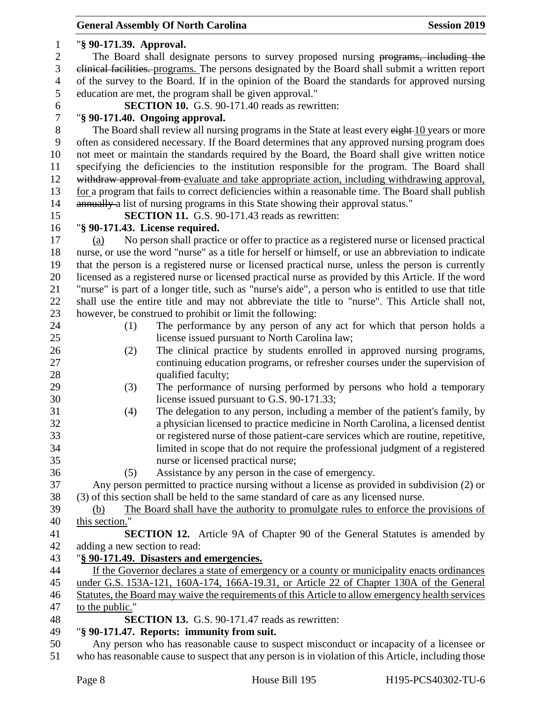| $\mathbf{1}$     | "§ 90-171.39. Approval.                                                                                                   |
|------------------|---------------------------------------------------------------------------------------------------------------------------|
| $\mathbf{2}$     | The Board shall designate persons to survey proposed nursing programs, including the                                      |
| 3                | elinical facilities. programs. The persons designated by the Board shall submit a written report                          |
| $\overline{4}$   | of the survey to the Board. If in the opinion of the Board the standards for approved nursing                             |
| 5                | education are met, the program shall be given approval."                                                                  |
| 6                | SECTION 10. G.S. 90-171.40 reads as rewritten:                                                                            |
| $\boldsymbol{7}$ | "§ 90-171.40. Ongoing approval.                                                                                           |
| $8\,$            | The Board shall review all nursing programs in the State at least every eight 10 years or more                            |
| 9                | often as considered necessary. If the Board determines that any approved nursing program does                             |
| 10               | not meet or maintain the standards required by the Board, the Board shall give written notice                             |
| 11               | specifying the deficiencies to the institution responsible for the program. The Board shall                               |
| 12               | withdraw approval from evaluate and take appropriate action, including withdrawing approval,                              |
| 13               | for a program that fails to correct deficiencies within a reasonable time. The Board shall publish                        |
| 14               | annually a list of nursing programs in this State showing their approval status."                                         |
| 15               | <b>SECTION 11.</b> G.S. 90-171.43 reads as rewritten:                                                                     |
| 16               | "§ 90-171.43. License required.                                                                                           |
| 17               | No person shall practice or offer to practice as a registered nurse or licensed practical<br>(a)                          |
| 18               | nurse, or use the word "nurse" as a title for herself or himself, or use an abbreviation to indicate                      |
| 19               | that the person is a registered nurse or licensed practical nurse, unless the person is currently                         |
| 20               | licensed as a registered nurse or licensed practical nurse as provided by this Article. If the word                       |
| 21               | "nurse" is part of a longer title, such as "nurse's aide", a person who is entitled to use that title                     |
| 22               | shall use the entire title and may not abbreviate the title to "nurse". This Article shall not,                           |
| 23               | however, be construed to prohibit or limit the following:                                                                 |
| 24               | The performance by any person of any act for which that person holds a<br>(1)                                             |
| 25               | license issued pursuant to North Carolina law;                                                                            |
| 26               | The clinical practice by students enrolled in approved nursing programs,                                                  |
| 27               | (2)<br>continuing education programs, or refresher courses under the supervision of                                       |
| 28               | qualified faculty;                                                                                                        |
| 29               |                                                                                                                           |
| 30               | The performance of nursing performed by persons who hold a temporary<br>(3)<br>license issued pursuant to G.S. 90-171.33; |
| 31               | The delegation to any person, including a member of the patient's family, by                                              |
| 32               | (4)                                                                                                                       |
|                  | a physician licensed to practice medicine in North Carolina, a licensed dentist                                           |
| 33               | or registered nurse of those patient-care services which are routine, repetitive,                                         |
| 34               | limited in scope that do not require the professional judgment of a registered                                            |
| 35               | nurse or licensed practical nurse;                                                                                        |
| 36               | Assistance by any person in the case of emergency.<br>(5)                                                                 |
| 37               | Any person permitted to practice nursing without a license as provided in subdivision (2) or                              |
| 38               | (3) of this section shall be held to the same standard of care as any licensed nurse.                                     |
| 39               | The Board shall have the authority to promulgate rules to enforce the provisions of<br>(b)                                |
| 40               | this section.                                                                                                             |
| 41               | SECTION 12. Article 9A of Chapter 90 of the General Statutes is amended by                                                |
| 42               | adding a new section to read:                                                                                             |
| 43               | "§ 90-171.49. Disasters and emergencies.                                                                                  |
| 44               | If the Governor declares a state of emergency or a county or municipality enacts ordinances                               |
| 45               | under G.S. 153A-121, 160A-174, 166A-19.31, or Article 22 of Chapter 130A of the General                                   |
| 46               | Statutes, the Board may waive the requirements of this Article to allow emergency health services                         |
| 47               | to the public."                                                                                                           |
| 48               | SECTION 13. G.S. 90-171.47 reads as rewritten:                                                                            |
| 49               | "§ 90-171.47. Reports: immunity from suit.                                                                                |
| 50               | Any person who has reasonable cause to suspect misconduct or incapacity of a licensee or                                  |
| 51               | who has reasonable cause to suspect that any person is in violation of this Article, including those                      |